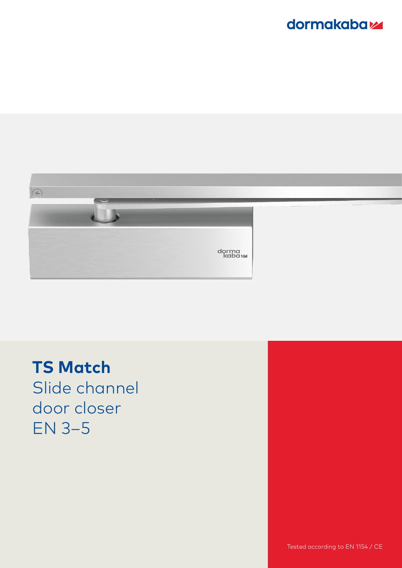## dormakabaz



**TS Match** Slide channel door closer EN 3–5

Tested according to EN 1154 / CE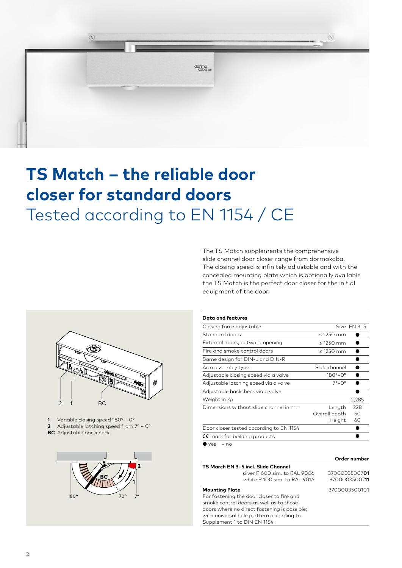

# **TS Match – the reliable door closer for standard doors** Tested according to EN 1154 / CE





1 Variable closing speed 180° - 0° **2** Adjustable latching speed from  $7^{\circ}$  – 0° **BC** Adjustable backcheck



| Data and features                       |                       |             |
|-----------------------------------------|-----------------------|-------------|
| Closing force adjustable                |                       | Size EN 3-5 |
| Standard doors                          | $\leq$ 1250 mm        |             |
| External doors, outward opening         | $\leq$ 1250 mm        |             |
| Fire and smoke control doors            | $\leq$ 1250 mm        |             |
| Same design for DIN-L and DIN-R         |                       |             |
| Arm assembly type                       | Slide channel         |             |
| Adjustable closing speed via a valve    | $180^\circ - 0^\circ$ |             |
| Adjustable latching speed via a valve   | $7^\circ - 0^\circ$   |             |
| Adjustable backcheck via a valve        |                       |             |
| Weight in kg                            |                       | 2,285       |
| Dimensions without slide channel in mm  | Length                | 228         |
|                                         | Overall depth         | 50          |
|                                         | Height                | 60          |
| Door closer tested according to EN 1154 |                       |             |
| $\zeta$ mark for building products      |                       |             |
| $\bullet$ yes<br>$- no$                 |                       |             |

|                                              | Order number  |
|----------------------------------------------|---------------|
| TS March EN 3-5 incl. Slide Channel          |               |
| silver P 600 sim. to RAL 9006                | 3700003500701 |
| white P 100 sim, to RAL 9016                 | 3700003500711 |
| <b>Mounting Plate</b>                        | 3700003500101 |
| For fastening the door closer to fire and    |               |
| smoke control doors as well as to those      |               |
| doors where no direct fastening is possible; |               |
| with universal hole plattern according to    |               |
| Supplement 1 to DIN EN 1154.                 |               |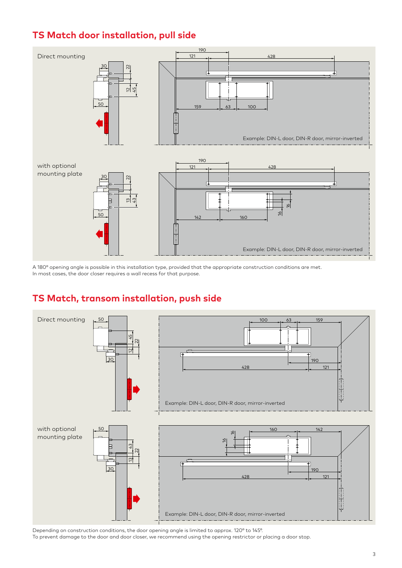### **TS Match door installation, pull side**



A 180° opening angle is possible in this installation type, provided that the appropriate construction conditions are met. In most cases, the door closer requires a wall recess for that purpose.

#### **TS Match, transom installation, push side**



Depending on construction conditions, the door opening angle is limited to approx. 120° to 145°.

To prevent damage to the door and door closer, we recommend using the opening restrictor or placing a door stop.